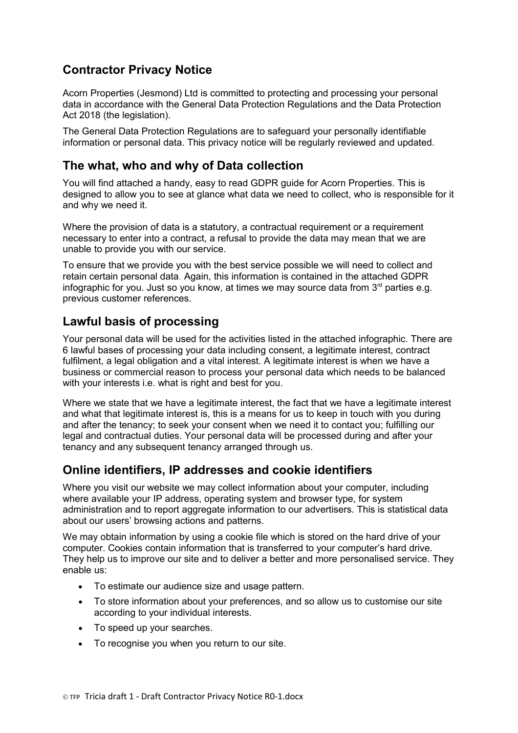# **Contractor Privacy Notice**

Acorn Properties (Jesmond) Ltd is committed to protecting and processing your personal data in accordance with the General Data Protection Regulations and the Data Protection Act 2018 (the legislation).

The General Data Protection Regulations are to safeguard your personally identifiable information or personal data. This privacy notice will be regularly reviewed and updated.

## **The what, who and why of Data collection**

You will find attached a handy, easy to read GDPR guide for Acorn Properties. This is designed to allow you to see at glance what data we need to collect, who is responsible for it and why we need it.

Where the provision of data is a statutory, a contractual requirement or a requirement necessary to enter into a contract, a refusal to provide the data may mean that we are unable to provide you with our service.

To ensure that we provide you with the best service possible we will need to collect and retain certain personal data. Again, this information is contained in the attached GDPR infographic for you. Just so you know, at times we may source data from  $3<sup>rd</sup>$  parties e.g. previous customer references.

## **Lawful basis of processing**

Your personal data will be used for the activities listed in the attached infographic. There are 6 lawful bases of processing your data including consent, a legitimate interest, contract fulfilment, a legal obligation and a vital interest. A legitimate interest is when we have a business or commercial reason to process your personal data which needs to be balanced with your interests i.e. what is right and best for you.

Where we state that we have a legitimate interest, the fact that we have a legitimate interest and what that legitimate interest is, this is a means for us to keep in touch with you during and after the tenancy; to seek your consent when we need it to contact you; fulfilling our legal and contractual duties. Your personal data will be processed during and after your tenancy and any subsequent tenancy arranged through us.

## **Online identifiers, IP addresses and cookie identifiers**

Where you visit our website we may collect information about your computer, including where available your IP address, operating system and browser type, for system administration and to report aggregate information to our advertisers. This is statistical data about our users' browsing actions and patterns.

We may obtain information by using a cookie file which is stored on the hard drive of your computer. Cookies contain information that is transferred to your computer's hard drive. They help us to improve our site and to deliver a better and more personalised service. They enable us:

- To estimate our audience size and usage pattern.
- To store information about your preferences, and so allow us to customise our site according to your individual interests.
- To speed up your searches.
- To recognise you when you return to our site.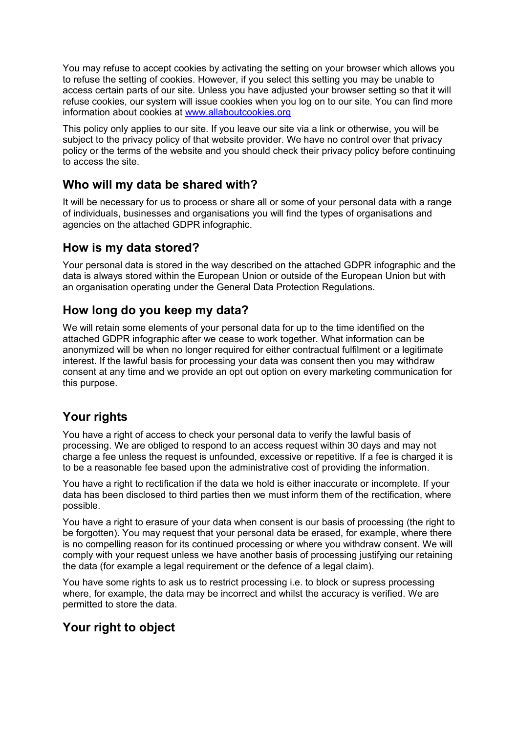You may refuse to accept cookies by activating the setting on your browser which allows you to refuse the setting of cookies. However, if you select this setting you may be unable to access certain parts of our site. Unless you have adjusted your browser setting so that it will refuse cookies, our system will issue cookies when you log on to our site. You can find more information about cookies at [www.allaboutcookies.org](http://www.allaboutcookies.org/)

This policy only applies to our site. If you leave our site via a link or otherwise, you will be subject to the privacy policy of that website provider. We have no control over that privacy policy or the terms of the website and you should check their privacy policy before continuing to access the site.

## **Who will my data be shared with?**

It will be necessary for us to process or share all or some of your personal data with a range of individuals, businesses and organisations you will find the types of organisations and agencies on the attached GDPR infographic.

## **How is my data stored?**

Your personal data is stored in the way described on the attached GDPR infographic and the data is always stored within the European Union or outside of the European Union but with an organisation operating under the General Data Protection Regulations.

## **How long do you keep my data?**

We will retain some elements of your personal data for up to the time identified on the attached GDPR infographic after we cease to work together. What information can be anonymized will be when no longer required for either contractual fulfilment or a legitimate interest. If the lawful basis for processing your data was consent then you may withdraw consent at any time and we provide an opt out option on every marketing communication for this purpose.

## **Your rights**

You have a right of access to check your personal data to verify the lawful basis of processing. We are obliged to respond to an access request within 30 days and may not charge a fee unless the request is unfounded, excessive or repetitive. If a fee is charged it is to be a reasonable fee based upon the administrative cost of providing the information.

You have a right to rectification if the data we hold is either inaccurate or incomplete. If your data has been disclosed to third parties then we must inform them of the rectification, where possible.

You have a right to erasure of your data when consent is our basis of processing (the right to be forgotten). You may request that your personal data be erased, for example, where there is no compelling reason for its continued processing or where you withdraw consent. We will comply with your request unless we have another basis of processing justifying our retaining the data (for example a legal requirement or the defence of a legal claim).

You have some rights to ask us to restrict processing i.e. to block or supress processing where, for example, the data may be incorrect and whilst the accuracy is verified. We are permitted to store the data.

## **Your right to object**